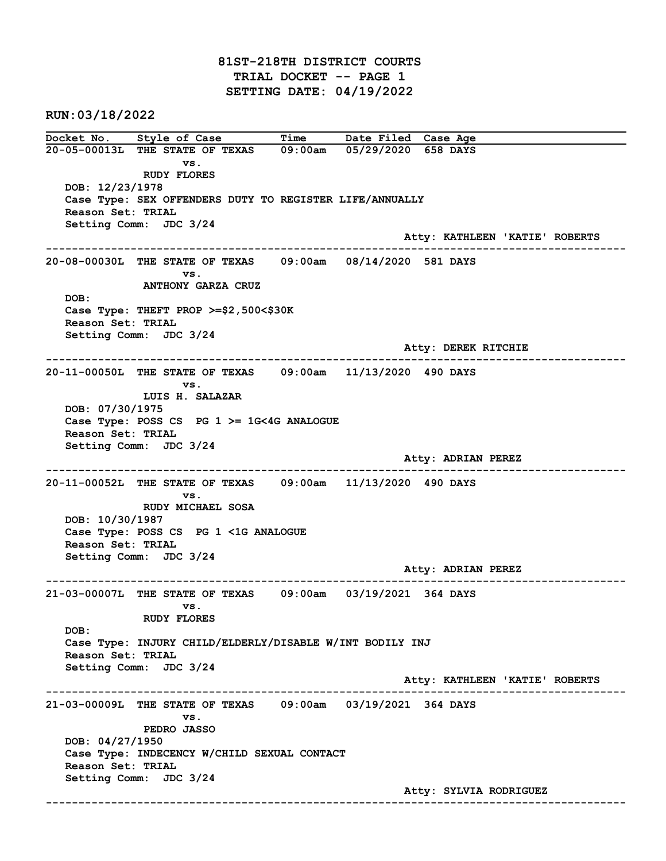81ST-218TH DISTRICT COURTS TRIAL DOCKET -- PAGE 1 SETTING DATE: 04/19/2022

RUN:03/18/2022

Docket No. Style of Case Time Date Filed Case Age 20-05-00013L THE STATE OF TEXAS 09:00am 05/29/2020 658 DAYS vs. RUDY FLORES DOB: 12/23/1978 Case Type: SEX OFFENDERS DUTY TO REGISTER LIFE/ANNUALLY Reason Set: TRIAL Setting Comm: JDC 3/24 Atty: KATHLEEN 'KATIE' ROBERTS ------------------------------------------------------------------------------------------------------------------------ 20-08-00030L THE STATE OF TEXAS 09:00am 08/14/2020 581 DAYS vs. ANTHONY GARZA CRUZ DOB: Case Type: THEFT PROP >=\$2,500<\$30K Reason Set: TRIAL Setting Comm: JDC 3/24 Atty: DEREK RITCHIE ------------------------------------------------------------------------------------------------------------------------ 20-11-00050L THE STATE OF TEXAS 09:00am 11/13/2020 490 DAYS vs. LUIS H. SALAZAR DOB: 07/30/1975 Case Type: POSS CS PG  $1$  >= 1G<4G ANALOGUE Reason Set: TRIAL Setting Comm: JDC 3/24 Atty: ADRIAN PEREZ ------------------------------------------------------------------------------------------------------------------------ 20-11-00052L THE STATE OF TEXAS 09:00am 11/13/2020 490 DAYS vs. RUDY MICHAEL SOSA DOB: 10/30/1987 Case Type: POSS CS PG 1 <1G ANALOGUE Reason Set: TRIAL Setting Comm: JDC 3/24 Atty: ADRIAN PEREZ ------------------------------------------------------------------------------------------------------------------------ 21-03-00007L THE STATE OF TEXAS 09:00am 03/19/2021 364 DAYS vs. RUDY FLORES DOB: Case Type: INJURY CHILD/ELDERLY/DISABLE W/INT BODILY INJ Reason Set: TRIAL Setting Comm: JDC 3/24 Atty: KATHLEEN 'KATIE' ROBERTS ------------------------------------------------------------------------------------------------------------------------ 21-03-00009L THE STATE OF TEXAS 09:00am 03/19/2021 364 DAYS vs. PEDRO JASSO DOB: 04/27/1950 Case Type: INDECENCY W/CHILD SEXUAL CONTACT Reason Set: TRIAL Setting Comm: JDC 3/24 Atty: SYLVIA RODRIGUEZ ------------------------------------------------------------------------------------------------------------------------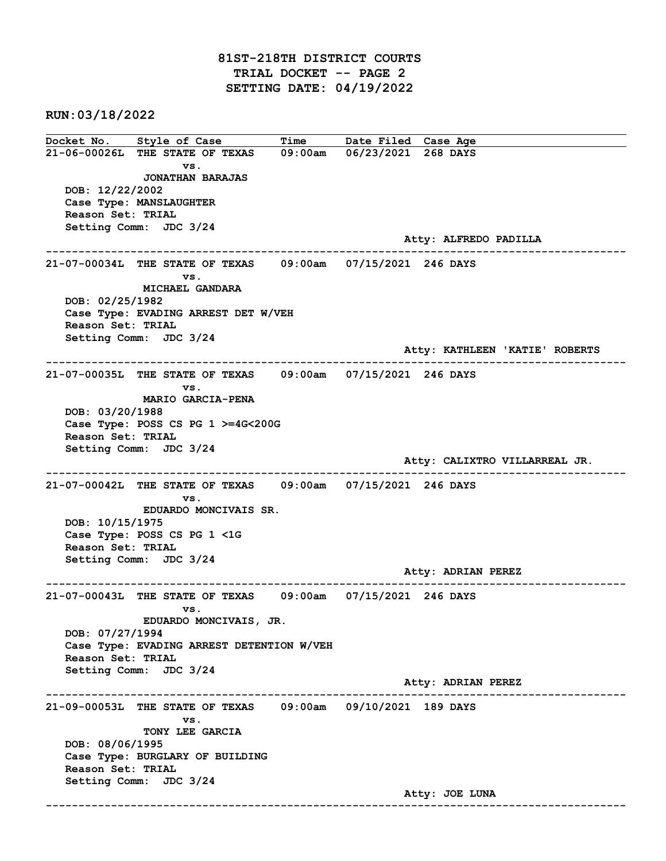## 81ST-218TH DISTRICT COURTS TRIAL DOCKET -- PAGE 2 SETTING DATE: 04/19/2022

RUN:03/18/2022

Docket No. Style of Case Time Date Filed Case Age 21-06-00026L THE STATE OF TEXAS 09:00am 06/23/2021 268 DAYS vs. JONATHAN BARAJAS DOB: 12/22/2002 Case Type: MANSLAUGHTER Reason Set: TRIAL Setting Comm: JDC 3/24 Atty: ALFREDO PADILLA ------------------------------------------------------------------------------------------------------------------------ 21-07-00034L THE STATE OF TEXAS 09:00am 07/15/2021 246 DAYS vs. MICHAEL GANDARA DOB: 02/25/1982 Case Type: EVADING ARREST DET W/VEH Reason Set: TRIAL Setting Comm: JDC 3/24 Atty: KATHLEEN 'KATIE' ROBERTS ------------------------------------------------------------------------------------------------------------------------ 21-07-00035L THE STATE OF TEXAS 09:00am 07/15/2021 246 DAYS vs. MARIO GARCIA-PENA DOB: 03/20/1988 Case Type: POSS CS PG 1 >=4G<200G Reason Set: TRIAL Setting Comm: JDC 3/24 Atty: CALIXTRO VILLARREAL JR. ------------------------------------------------------------------------------------------------------------------------ 21-07-00042L THE STATE OF TEXAS 09:00am 07/15/2021 246 DAYS vs. EDUARDO MONCIVAIS SR. DOB: 10/15/1975 Case Type: POSS CS PG 1 <1G Reason Set: TRIAL Setting Comm: JDC 3/24 Atty: ADRIAN PEREZ ------------------------------------------------------------------------------------------------------------------------ 21-07-00043L THE STATE OF TEXAS 09:00am 07/15/2021 246 DAYS vs. EDUARDO MONCIVAIS, JR. DOB: 07/27/1994 Case Type: EVADING ARREST DETENTION W/VEH Reason Set: TRIAL Setting Comm: JDC 3/24 Atty: ADRIAN PEREZ ------------------------------------------------------------------------------------------------------------------------ 21-09-00053L THE STATE OF TEXAS 09:00am 09/10/2021 189 DAYS vs. TONY LEE GARCIA DOB: 08/06/1995 Case Type: BURGLARY OF BUILDING Reason Set: TRIAL Setting Comm: JDC 3/24 Atty: JOE LUNA ------------------------------------------------------------------------------------------------------------------------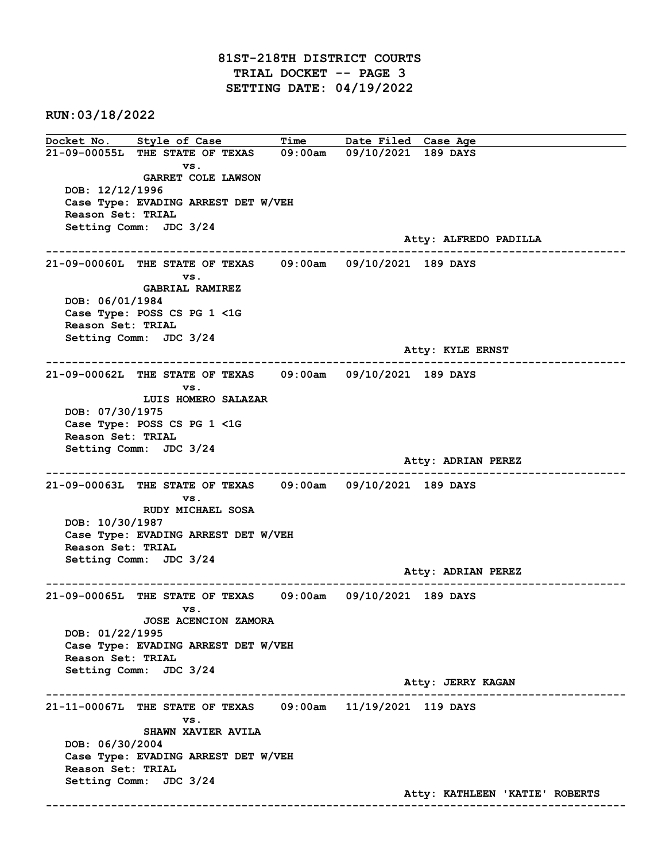## 81ST-218TH DISTRICT COURTS TRIAL DOCKET -- PAGE 3 SETTING DATE: 04/19/2022

RUN:03/18/2022

Docket No. Style of Case Time Date Filed Case Age 21-09-00055L THE STATE OF TEXAS 09:00am 09/10/2021 189 DAYS vs. GARRET COLE LAWSON DOB: 12/12/1996 Case Type: EVADING ARREST DET W/VEH Reason Set: TRIAL Setting Comm: JDC 3/24 Atty: ALFREDO PADILLA ------------------------------------------------------------------------------------------------------------------------ 21-09-00060L THE STATE OF TEXAS 09:00am 09/10/2021 189 DAYS vs. GABRIAL RAMIREZ DOB: 06/01/1984 Case Type: POSS CS PG 1 <1G Reason Set: TRIAL Setting Comm: JDC 3/24 Atty: KYLE ERNST ------------------------------------------------------------------------------------------------------------------------ 21-09-00062L THE STATE OF TEXAS 09:00am 09/10/2021 189 DAYS vs. LUIS HOMERO SALAZAR DOB: 07/30/1975 Case Type: POSS CS PG 1 <1G Reason Set: TRIAL Setting Comm: JDC 3/24 Atty: ADRIAN PEREZ ------------------------------------------------------------------------------------------------------------------------ 21-09-00063L THE STATE OF TEXAS 09:00am 09/10/2021 189 DAYS vs. RUDY MICHAEL SOSA DOB: 10/30/1987 Case Type: EVADING ARREST DET W/VEH Reason Set: TRIAL Setting Comm: JDC 3/24 Atty: ADRIAN PEREZ ------------------------------------------------------------------------------------------------------------------------ 21-09-00065L THE STATE OF TEXAS 09:00am 09/10/2021 189 DAYS vs. JOSE ACENCION ZAMORA DOB: 01/22/1995 Case Type: EVADING ARREST DET W/VEH Reason Set: TRIAL Setting Comm: JDC 3/24 Atty: JERRY KAGAN ------------------------------------------------------------------------------------------------------------------------ 21-11-00067L THE STATE OF TEXAS 09:00am 11/19/2021 119 DAYS vs. SHAWN XAVIER AVILA DOB: 06/30/2004 Case Type: EVADING ARREST DET W/VEH Reason Set: TRIAL Setting Comm: JDC 3/24 Atty: KATHLEEN 'KATIE' ROBERTS ------------------------------------------------------------------------------------------------------------------------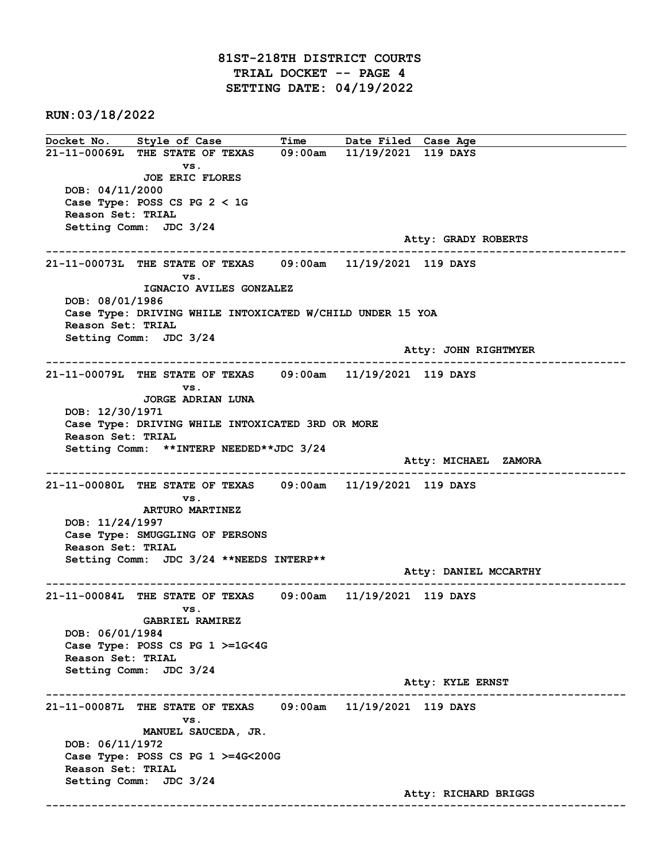RUN:03/18/2022

Docket No. Style of Case Time Date Filed Case Age 21-11-00069L THE STATE OF TEXAS 09:00am 11/19/2021 119 DAYS vs. JOE ERIC FLORES DOB: 04/11/2000 Case Type: POSS CS PG 2 < 1G Reason Set: TRIAL Setting Comm: JDC 3/24 Atty: GRADY ROBERTS ------------------------------------------------------------------------------------------------------------------------ 21-11-00073L THE STATE OF TEXAS 09:00am 11/19/2021 119 DAYS vs. IGNACIO AVILES GONZALEZ DOB: 08/01/1986 Case Type: DRIVING WHILE INTOXICATED W/CHILD UNDER 15 YOA Reason Set: TRIAL Setting Comm: JDC 3/24 Atty: JOHN RIGHTMYER ------------------------------------------------------------------------------------------------------------------------ 21-11-00079L THE STATE OF TEXAS 09:00am 11/19/2021 119 DAYS vs. JORGE ADRIAN LUNA DOB: 12/30/1971 Case Type: DRIVING WHILE INTOXICATED 3RD OR MORE Reason Set: TRIAL Setting Comm: \*\*INTERP NEEDED\*\*JDC 3/24 Atty: MICHAEL ZAMORA ------------------------------------------------------------------------------------------------------------------------ 21-11-00080L THE STATE OF TEXAS 09:00am 11/19/2021 119 DAYS vs. ARTURO MARTINEZ DOB: 11/24/1997 Case Type: SMUGGLING OF PERSONS Reason Set: TRIAL Setting Comm: JDC 3/24 \*\*NEEDS INTERP\*\* Atty: DANIEL MCCARTHY ------------------------------------------------------------------------------------------------------------------------ 21-11-00084L THE STATE OF TEXAS 09:00am 11/19/2021 119 DAYS vs. GABRIEL RAMIREZ DOB: 06/01/1984 Case Type: POSS CS PG 1 >=1G<4G Reason Set: TRIAL Setting Comm: JDC 3/24 Atty: KYLE ERNST ------------------------------------------------------------------------------------------------------------------------ 21-11-00087L THE STATE OF TEXAS 09:00am 11/19/2021 119 DAYS vs. MANUEL SAUCEDA, JR. DOB: 06/11/1972 Case Type: POSS CS PG 1 >=4G<200G Reason Set: TRIAL Setting Comm: JDC 3/24 Atty: RICHARD BRIGGS ------------------------------------------------------------------------------------------------------------------------